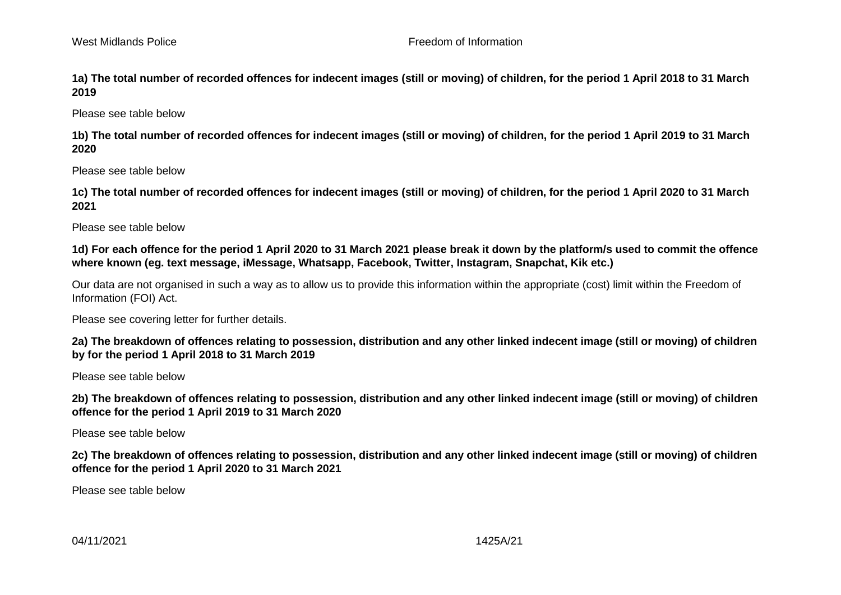**1a) The total number of recorded offences for indecent images (still or moving) of children, for the period 1 April 2018 to 31 March 2019** 

Please see table below

**1b) The total number of recorded offences for indecent images (still or moving) of children, for the period 1 April 2019 to 31 March 2020**

Please see table below

**1c) The total number of recorded offences for indecent images (still or moving) of children, for the period 1 April 2020 to 31 March 2021**

Please see table below

**1d) For each offence for the period 1 April 2020 to 31 March 2021 please break it down by the platform/s used to commit the offence where known (eg. text message, iMessage, Whatsapp, Facebook, Twitter, Instagram, Snapchat, Kik etc.)** 

Our data are not organised in such a way as to allow us to provide this information within the appropriate (cost) limit within the Freedom of Information (FOI) Act.

Please see covering letter for further details.

**2a) The breakdown of offences relating to possession, distribution and any other linked indecent image (still or moving) of children by for the period 1 April 2018 to 31 March 2019**

Please see table below

**2b) The breakdown of offences relating to possession, distribution and any other linked indecent image (still or moving) of children offence for the period 1 April 2019 to 31 March 2020** 

Please see table below

**2c) The breakdown of offences relating to possession, distribution and any other linked indecent image (still or moving) of children offence for the period 1 April 2020 to 31 March 2021**

Please see table below